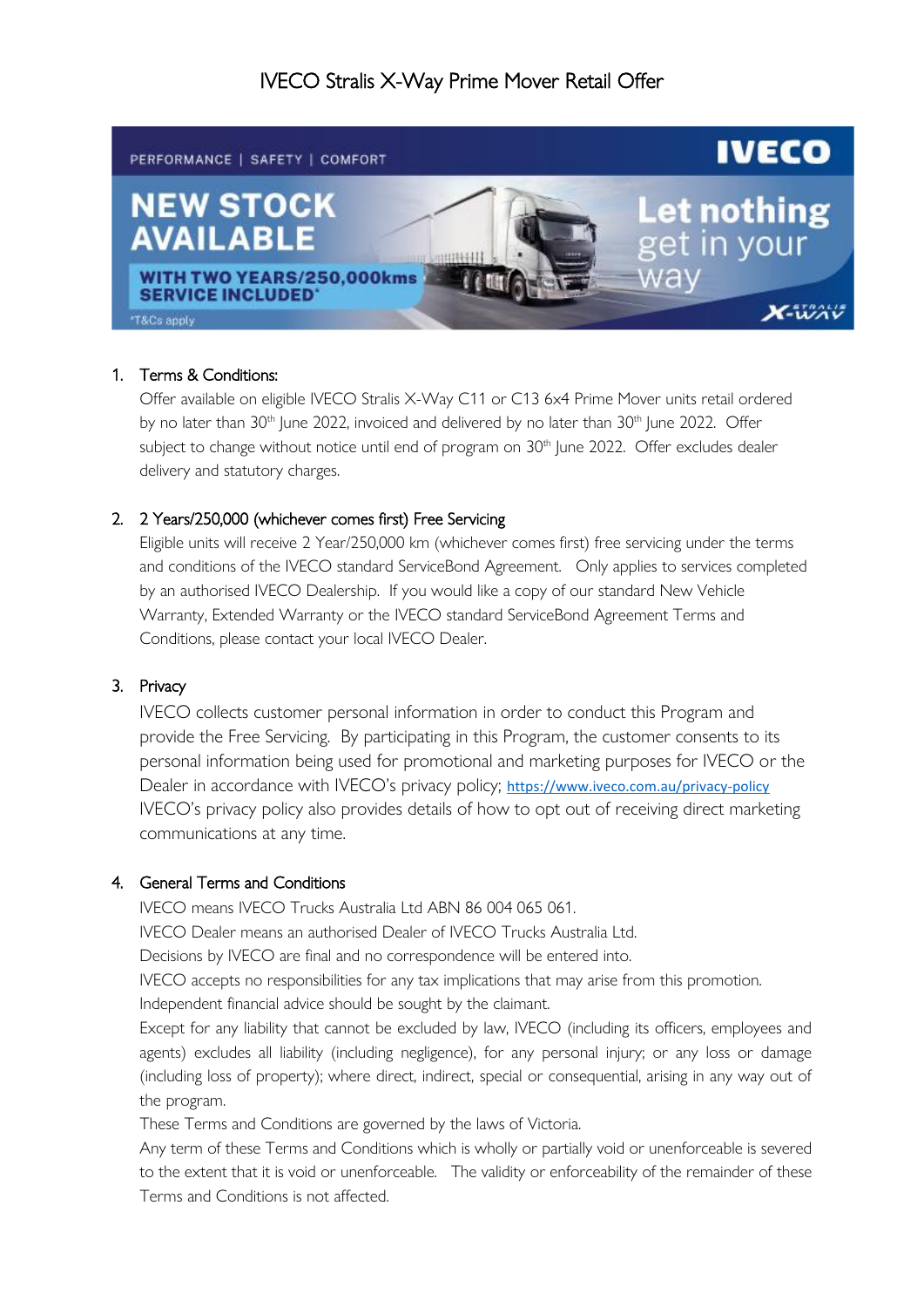# IVECO Stralis X-Way Prime Mover Retail Offer



## 1. Terms & Conditions:

Offer available on eligible IVECO Stralis X-Way C11 or C13 6x4 Prime Mover units retail ordered by no later than 30<sup>th</sup> June 2022, invoiced and delivered by no later than 30<sup>th</sup> June 2022. Offer subject to change without notice until end of program on 30<sup>th</sup> June 2022. Offer excludes dealer delivery and statutory charges.

## 2. 2 Years/250,000 (whichever comes first) Free Servicing

Eligible units will receive 2 Year/250,000 km (whichever comes first) free servicing under the terms and conditions of the IVECO standard ServiceBond Agreement. Only applies to services completed by an authorised IVECO Dealership. If you would like a copy of our standard New Vehicle Warranty, Extended Warranty or the IVECO standard ServiceBond Agreement Terms and Conditions, please contact your local IVECO Dealer.

#### 3. Privacy

IVECO collects customer personal information in order to conduct this Program and provide the Free Servicing. By participating in this Program, the customer consents to its personal information being used for promotional and marketing purposes for IVECO or the Dealer in accordance with IVECO's privacy policy; <https://www.iveco.com.au/privacy-policy> IVECO's privacy policy also provides details of how to opt out of receiving direct marketing communications at any time.

#### 4. General Terms and Conditions

IVECO means IVECO Trucks Australia Ltd ABN 86 004 065 061.

IVECO Dealer means an authorised Dealer of IVECO Trucks Australia Ltd.

Decisions by IVECO are final and no correspondence will be entered into.

IVECO accepts no responsibilities for any tax implications that may arise from this promotion.

Independent financial advice should be sought by the claimant.

Except for any liability that cannot be excluded by law, IVECO (including its officers, employees and agents) excludes all liability (including negligence), for any personal injury; or any loss or damage (including loss of property); where direct, indirect, special or consequential, arising in any way out of the program.

These Terms and Conditions are governed by the laws of Victoria.

Any term of these Terms and Conditions which is wholly or partially void or unenforceable is severed to the extent that it is void or unenforceable. The validity or enforceability of the remainder of these Terms and Conditions is not affected.